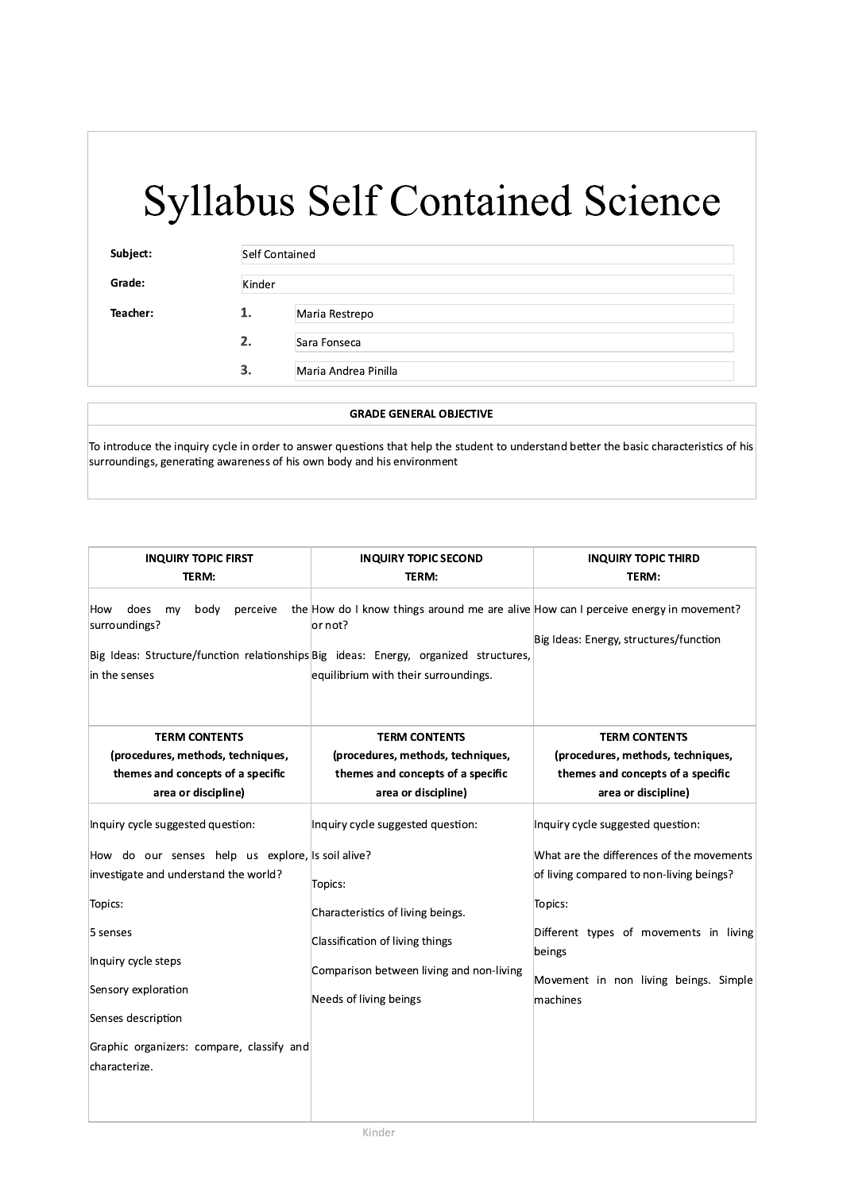| Subject: | Self Contained |                      |
|----------|----------------|----------------------|
| Grade:   | Kinder         |                      |
| Teacher: | 1.             | Maria Restrepo       |
|          | 2.             | Sara Fonseca         |
|          | 3.             | Maria Andrea Pinilla |

### **GRADE GENERAL OBJECTIVE**

To introduce the inquiry cycle in order to answer questions that help the student to understand better the basic characteristics of his surroundings, generating awareness of his own body and his environment

| <b>INQUIRY TOPIC FIRST</b>                                              | <b>INQUIRY TOPIC SECOND</b>                                                                                                                                                                                                    | <b>INQUIRY TOPIC THIRD</b>                        |  |
|-------------------------------------------------------------------------|--------------------------------------------------------------------------------------------------------------------------------------------------------------------------------------------------------------------------------|---------------------------------------------------|--|
| TERM:                                                                   | TERM:                                                                                                                                                                                                                          | TERM:                                             |  |
| does<br>body<br>perceive<br>How<br>my<br>surroundings?<br>in the senses | the How do I know things around me are alive How can I perceive energy in movement?<br>or not?<br>Big Ideas: Structure/function relationships Big ideas: Energy, organized structures,<br>equilibrium with their surroundings. | Big Ideas: Energy, structures/function            |  |
| <b>TERM CONTENTS</b>                                                    | <b>TERM CONTENTS</b>                                                                                                                                                                                                           | <b>TERM CONTENTS</b>                              |  |
| (procedures, methods, techniques,                                       | (procedures, methods, techniques,                                                                                                                                                                                              | (procedures, methods, techniques,                 |  |
| themes and concepts of a specific                                       | themes and concepts of a specific                                                                                                                                                                                              | themes and concepts of a specific                 |  |
| area or discipline)                                                     | area or discipline)                                                                                                                                                                                                            | area or discipline)                               |  |
| Inquiry cycle suggested question:                                       | Inquiry cycle suggested question:                                                                                                                                                                                              | Inquiry cycle suggested question:                 |  |
| How do our senses help us explore, is soil alive?                       |                                                                                                                                                                                                                                | What are the differences of the movements         |  |
| investigate and understand the world?                                   | Topics:                                                                                                                                                                                                                        | of living compared to non-living beings?          |  |
| Topics:                                                                 | Characteristics of living beings.                                                                                                                                                                                              | Topics:                                           |  |
| 5 senses                                                                | Classification of living things                                                                                                                                                                                                | Different types of movements in living<br>beings  |  |
| Inquiry cycle steps                                                     | Comparison between living and non-living                                                                                                                                                                                       |                                                   |  |
| Sensory exploration                                                     | Needs of living beings                                                                                                                                                                                                         | Movement in non living beings. Simple<br>machines |  |
| Senses description                                                      |                                                                                                                                                                                                                                |                                                   |  |
| Graphic organizers: compare, classify and<br>characterize.              |                                                                                                                                                                                                                                |                                                   |  |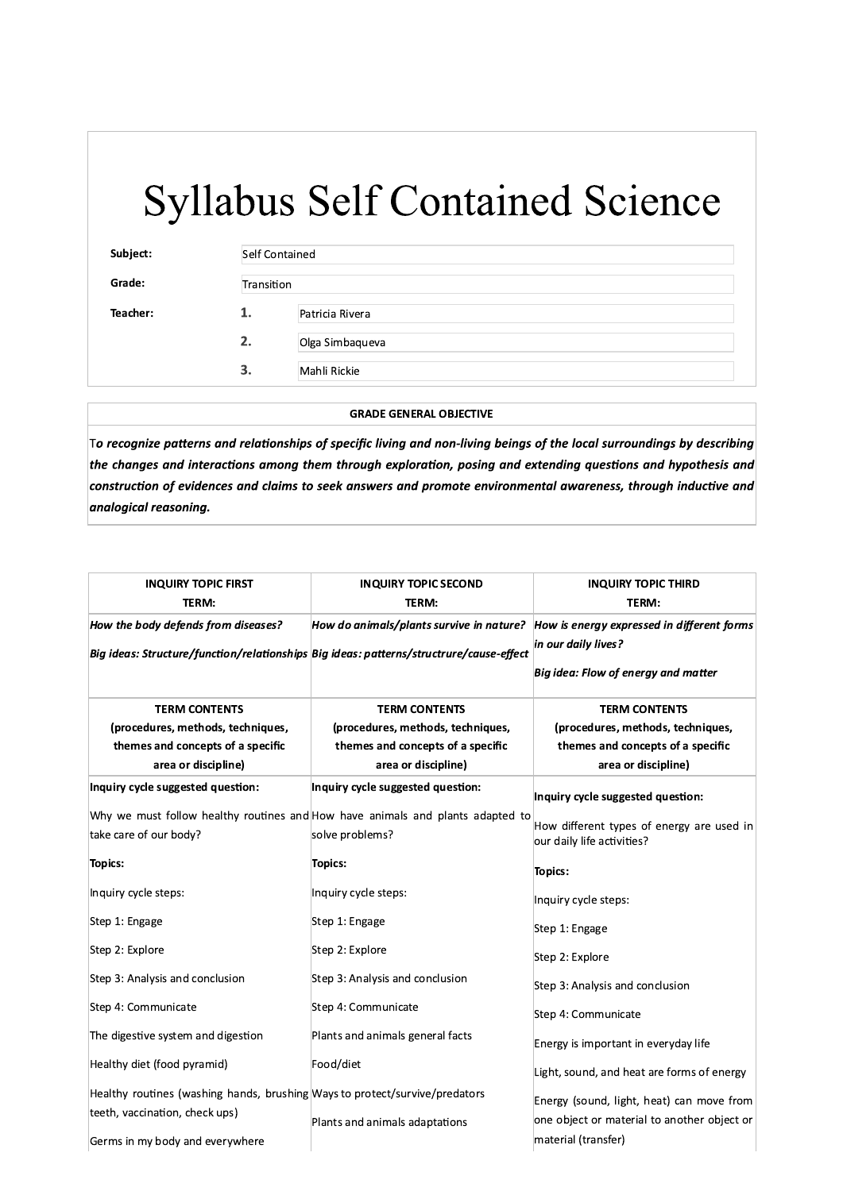| Subject: |    | Self Contained  |  |
|----------|----|-----------------|--|
| Grade:   |    | Transition      |  |
| Teacher: | 1. | Patricia Rivera |  |
|          | 2. | Olga Simbaqueva |  |
|          | 3. | Mahli Rickie    |  |

**GRADE GENERAL OBJECTIVE** 

To recognize patterns and relationships of specific living and non-living beings of the local surroundings by describing the changes and interactions among them through exploration, posing and extending questions and hypothesis and construction of evidences and claims to seek answers and promote environmental awareness, through inductive and analogical reasoning.

| <b>INQUIRY TOPIC FIRST</b><br>TERM:                                                                                                              | <b>INQUIRY TOPIC SECOND</b><br>TERM:                                                                                  | <b>INQUIRY TOPIC THIRD</b><br>TERM:                                                                                   |
|--------------------------------------------------------------------------------------------------------------------------------------------------|-----------------------------------------------------------------------------------------------------------------------|-----------------------------------------------------------------------------------------------------------------------|
| How the body defends from diseases?<br>Big ideas: Structure/function/relationships Big ideas: patterns/structrure/cause-effect                   | How do animals/plants survive in nature? $\vert$ How is energy expressed in different forms                           | in our daily lives?<br>Big idea: Flow of energy and matter                                                            |
| <b>TERM CONTENTS</b><br>(procedures, methods, techniques,<br>themes and concepts of a specific<br>area or discipline)                            | <b>TERM CONTENTS</b><br>(procedures, methods, techniques,<br>themes and concepts of a specific<br>area or discipline) | <b>TERM CONTENTS</b><br>(procedures, methods, techniques,<br>themes and concepts of a specific<br>area or discipline) |
| Inquiry cycle suggested question:                                                                                                                | Inquiry cycle suggested question:                                                                                     | Inquiry cycle suggested question:                                                                                     |
| take care of our body?                                                                                                                           | Why we must follow healthy routines and How have animals and plants adapted to<br>solve problems?                     | How different types of energy are used in<br>our daily life activities?                                               |
| <b>Topics:</b>                                                                                                                                   | <b>Topics:</b>                                                                                                        | <b>Topics:</b>                                                                                                        |
| Inquiry cycle steps:                                                                                                                             | Inquiry cycle steps:                                                                                                  | Inquiry cycle steps:                                                                                                  |
| Step 1: Engage                                                                                                                                   | Step 1: Engage                                                                                                        | Step 1: Engage                                                                                                        |
| Step 2: Explore                                                                                                                                  | Step 2: Explore                                                                                                       | Step 2: Explore                                                                                                       |
| Step 3: Analysis and conclusion                                                                                                                  | Step 3: Analysis and conclusion                                                                                       | Step 3: Analysis and conclusion                                                                                       |
| Step 4: Communicate                                                                                                                              | Step 4: Communicate                                                                                                   | Step 4: Communicate                                                                                                   |
| The digestive system and digestion                                                                                                               | Plants and animals general facts                                                                                      | Energy is important in everyday life                                                                                  |
| Healthy diet (food pyramid)                                                                                                                      | Food/diet                                                                                                             | Light, sound, and heat are forms of energy                                                                            |
| Healthy routines (washing hands, brushing Ways to protect/survive/predators<br>teeth, vaccination, check ups)<br>Germs in my body and everywhere | Plants and animals adaptations                                                                                        | Energy (sound, light, heat) can move from<br>one object or material to another object or<br>material (transfer)       |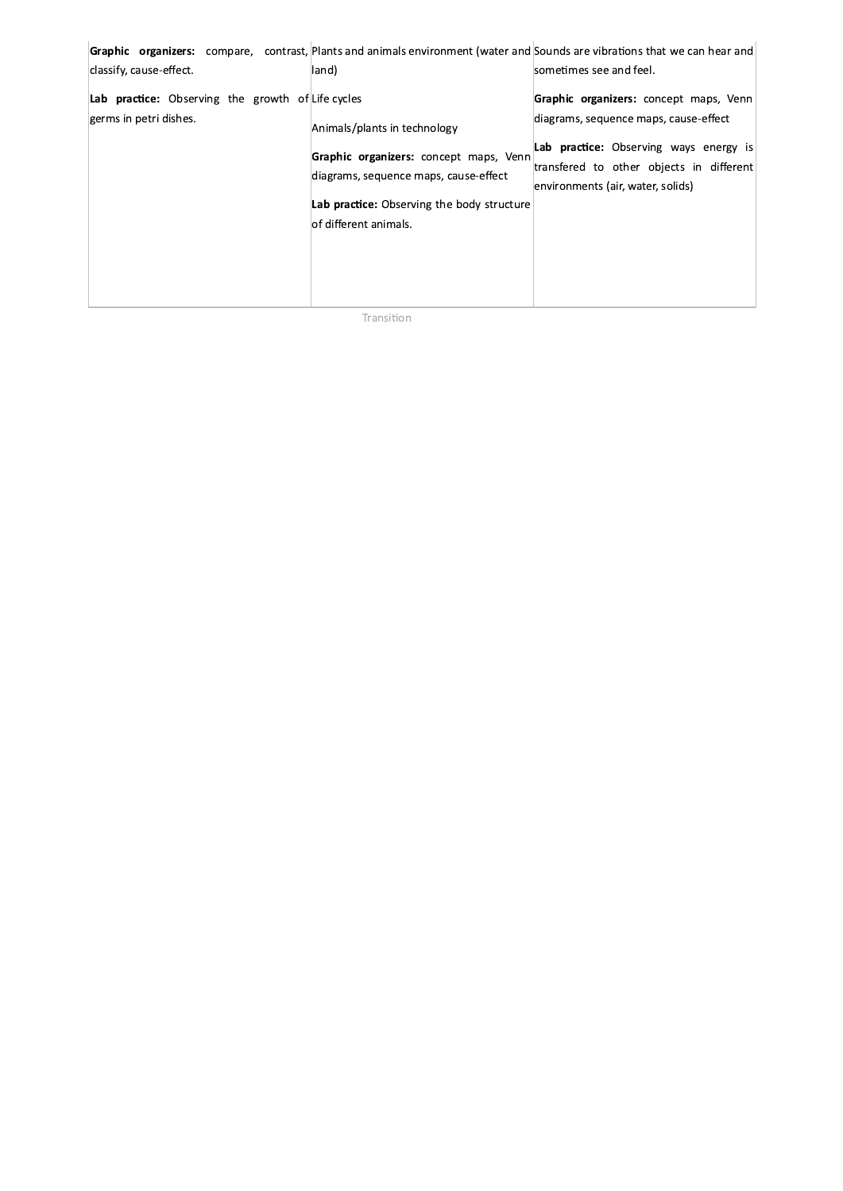| classify, cause-effect.                                                            | Graphic organizers: compare, contrast, Plants and animals environment (water and Sounds are vibrations that we can hear and<br>land)                                                    | sometimes see and feel.                                                                                                                                                                                           |
|------------------------------------------------------------------------------------|-----------------------------------------------------------------------------------------------------------------------------------------------------------------------------------------|-------------------------------------------------------------------------------------------------------------------------------------------------------------------------------------------------------------------|
| <b>Lab practice:</b> Observing the growth of Life cycles<br>germs in petri dishes. | Animals/plants in technology<br>Graphic organizers: concept maps, Venn<br>diagrams, sequence maps, cause-effect<br>Lab practice: Observing the body structure<br>lof different animals. | Graphic organizers: concept maps, Venn<br>diagrams, sequence maps, cause-effect<br><b>Lab practice:</b> Observing ways energy is<br>transfered to other objects in different<br>environments (air, water, solids) |

Transition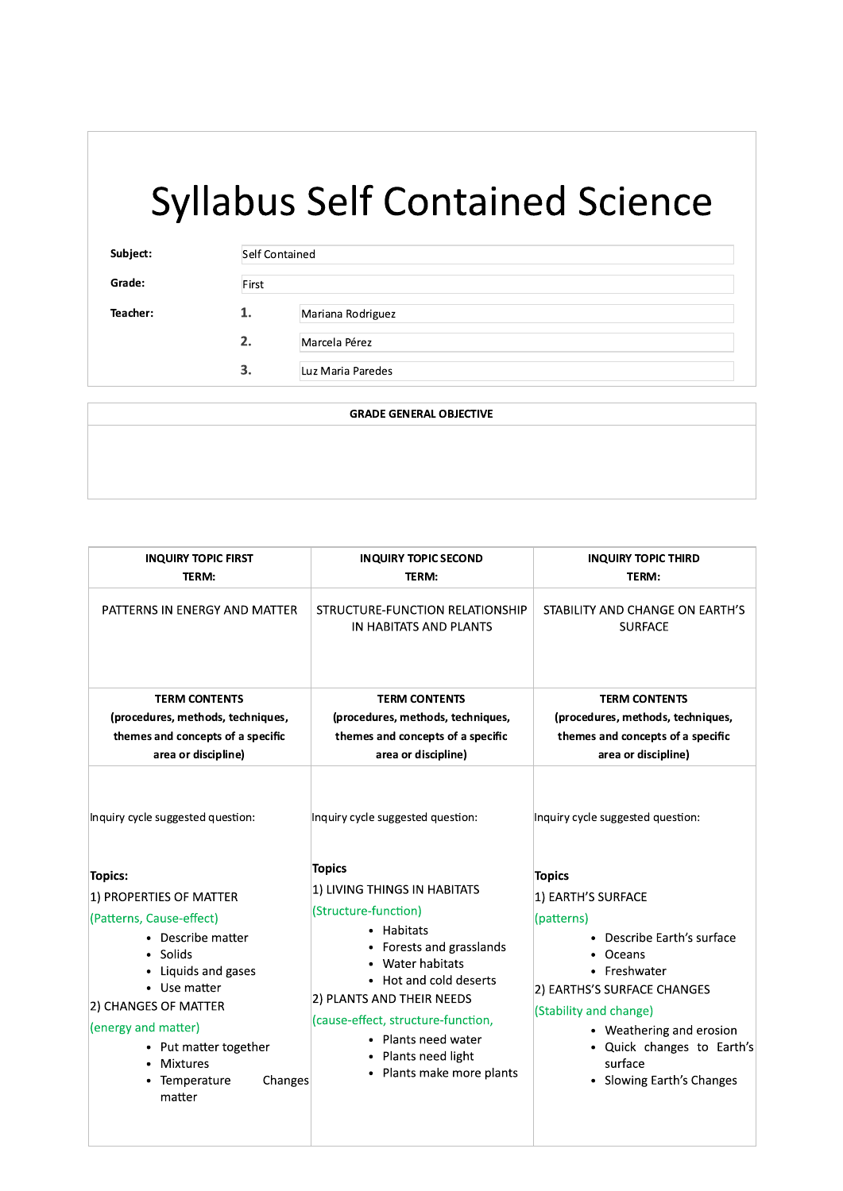| Subject: | Self Contained |                   |
|----------|----------------|-------------------|
| Grade:   | First          |                   |
| Teacher: | 1.             | Mariana Rodriguez |
|          | 2.             | Marcela Pérez     |
|          | 3.             | Luz Maria Paredes |

#### **GRADE GENERAL OBJECTIVE**

| <b>INQUIRY TOPIC FIRST</b><br>TERM:                                                                                                                                                                                                                                          | <b>INQUIRY TOPIC SECOND</b><br>TERM:                                                                                                                                                                                                                                                                | <b>INQUIRY TOPIC THIRD</b><br>TERM:                                                                                                                                                                                                                                  |
|------------------------------------------------------------------------------------------------------------------------------------------------------------------------------------------------------------------------------------------------------------------------------|-----------------------------------------------------------------------------------------------------------------------------------------------------------------------------------------------------------------------------------------------------------------------------------------------------|----------------------------------------------------------------------------------------------------------------------------------------------------------------------------------------------------------------------------------------------------------------------|
| PATTERNS IN ENERGY AND MATTER                                                                                                                                                                                                                                                | STRUCTURE-FUNCTION RELATIONSHIP<br>IN HABITATS AND PLANTS                                                                                                                                                                                                                                           | STABILITY AND CHANGE ON EARTH'S<br><b>SURFACE</b>                                                                                                                                                                                                                    |
| <b>TERM CONTENTS</b><br>(procedures, methods, techniques,<br>themes and concepts of a specific<br>area or discipline)                                                                                                                                                        | <b>TERM CONTENTS</b><br>(procedures, methods, techniques,<br>themes and concepts of a specific<br>area or discipline)                                                                                                                                                                               | <b>TERM CONTENTS</b><br>(procedures, methods, techniques,<br>themes and concepts of a specific<br>area or discipline)                                                                                                                                                |
| Inquiry cycle suggested question:                                                                                                                                                                                                                                            | Inquiry cycle suggested question:                                                                                                                                                                                                                                                                   | Inquiry cycle suggested question:                                                                                                                                                                                                                                    |
| <b>Topics:</b><br>1) PROPERTIES OF MATTER<br>(Patterns, Cause-effect)<br>• Describe matter<br>• Solids<br>• Liquids and gases<br>• Use matter<br>2) CHANGES OF MATTER<br>(energy and matter)<br>• Put matter together<br><b>Mixtures</b><br>Temperature<br>Changes<br>matter | <b>Topics</b><br>1) LIVING THINGS IN HABITATS<br>(Structure-function)<br>• Habitats<br>Forests and grasslands<br>Water habitats<br>• Hot and cold deserts<br>2) PLANTS AND THEIR NEEDS<br>(cause-effect, structure-function,<br>• Plants need water<br>Plants need light<br>Plants make more plants | <b>Topics</b><br>1) EARTH'S SURFACE<br>(patterns)<br>• Describe Earth's surface<br>Oceans<br>• Freshwater<br>2) EARTHS'S SURFACE CHANGES<br>(Stability and change)<br>• Weathering and erosion<br>• Quick changes to Earth's<br>surface<br>• Slowing Earth's Changes |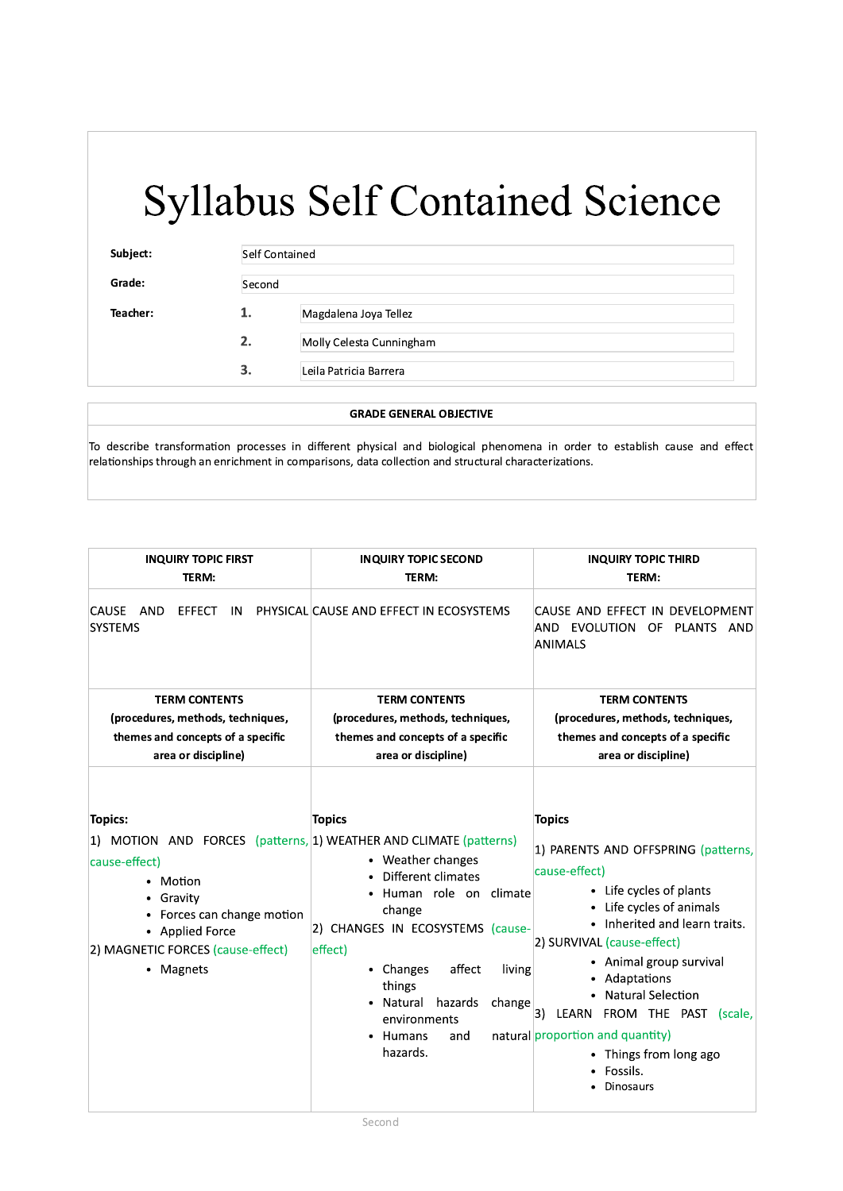Subject:

Grade: Teacher:

 $\mathbf{1}$ .  $2.$  $\overline{3}$ .

| Self Contained |                          |  |
|----------------|--------------------------|--|
| Second         |                          |  |
| 1.             | Magdalena Joya Tellez    |  |
| 2.             | Molly Celesta Cunningham |  |
| 3.             | Leila Patricia Barrera   |  |

#### **GRADE GENERAL OBJECTIVE**

To describe transformation processes in different physical and biological phenomena in order to establish cause and effect relationships through an enrichment in comparisons, data collection and structural characterizations.

| <b>INQUIRY TOPIC FIRST</b><br>TERM:                                                                                                                                                                                        | <b>INQUIRY TOPIC SECOND</b><br>TERM:                                                                                                                                                                                                                            | <b>INQUIRY TOPIC THIRD</b><br>TERM:                                                                                                                                                                                                                                                                                                                                                         |  |
|----------------------------------------------------------------------------------------------------------------------------------------------------------------------------------------------------------------------------|-----------------------------------------------------------------------------------------------------------------------------------------------------------------------------------------------------------------------------------------------------------------|---------------------------------------------------------------------------------------------------------------------------------------------------------------------------------------------------------------------------------------------------------------------------------------------------------------------------------------------------------------------------------------------|--|
| CAUSE AND<br><b>EFFECT</b><br><b>IN</b><br><b>SYSTEMS</b>                                                                                                                                                                  | PHYSICAL CAUSE AND EFFECT IN ECOSYSTEMS                                                                                                                                                                                                                         | CAUSE AND EFFECT IN DEVELOPMENT<br>AND EVOLUTION OF PLANTS AND<br>ANIMALS                                                                                                                                                                                                                                                                                                                   |  |
| <b>TERM CONTENTS</b>                                                                                                                                                                                                       | <b>TERM CONTENTS</b>                                                                                                                                                                                                                                            | <b>TERM CONTENTS</b>                                                                                                                                                                                                                                                                                                                                                                        |  |
| (procedures, methods, techniques,                                                                                                                                                                                          | (procedures, methods, techniques,                                                                                                                                                                                                                               | (procedures, methods, techniques,                                                                                                                                                                                                                                                                                                                                                           |  |
| themes and concepts of a specific<br>area or discipline)                                                                                                                                                                   | themes and concepts of a specific<br>area or discipline)                                                                                                                                                                                                        | themes and concepts of a specific<br>area or discipline)                                                                                                                                                                                                                                                                                                                                    |  |
| <b>Topics:</b><br>1) MOTION AND FORCES (patterns, 1) WEATHER AND CLIMATE (patterns)<br>cause-effect)<br>Motion<br>Gravity<br>Forces can change motion<br>• Applied Force<br>2) MAGNETIC FORCES (cause-effect)<br>• Magnets | <b>Topics</b><br>• Weather changes<br>Different climates<br>Human role on climate<br>change<br>2) CHANGES IN ECOSYSTEMS (cause-<br>effect)<br>affect<br>• Changes<br>living<br>things<br>Natural hazards<br>change<br>environments<br>Humans<br>and<br>hazards. | <b>Topics</b><br>1) PARENTS AND OFFSPRING (patterns,<br>cause-effect)<br>• Life cycles of plants<br>Life cycles of animals<br>• Inherited and learn traits.<br>2) SURVIVAL (cause-effect)<br>• Animal group survival<br>Adaptations<br><b>Natural Selection</b><br>3) LEARN FROM THE PAST<br>(scale,<br>natural proportion and quantity)<br>• Things from long ago<br>Fossils.<br>Dinosaurs |  |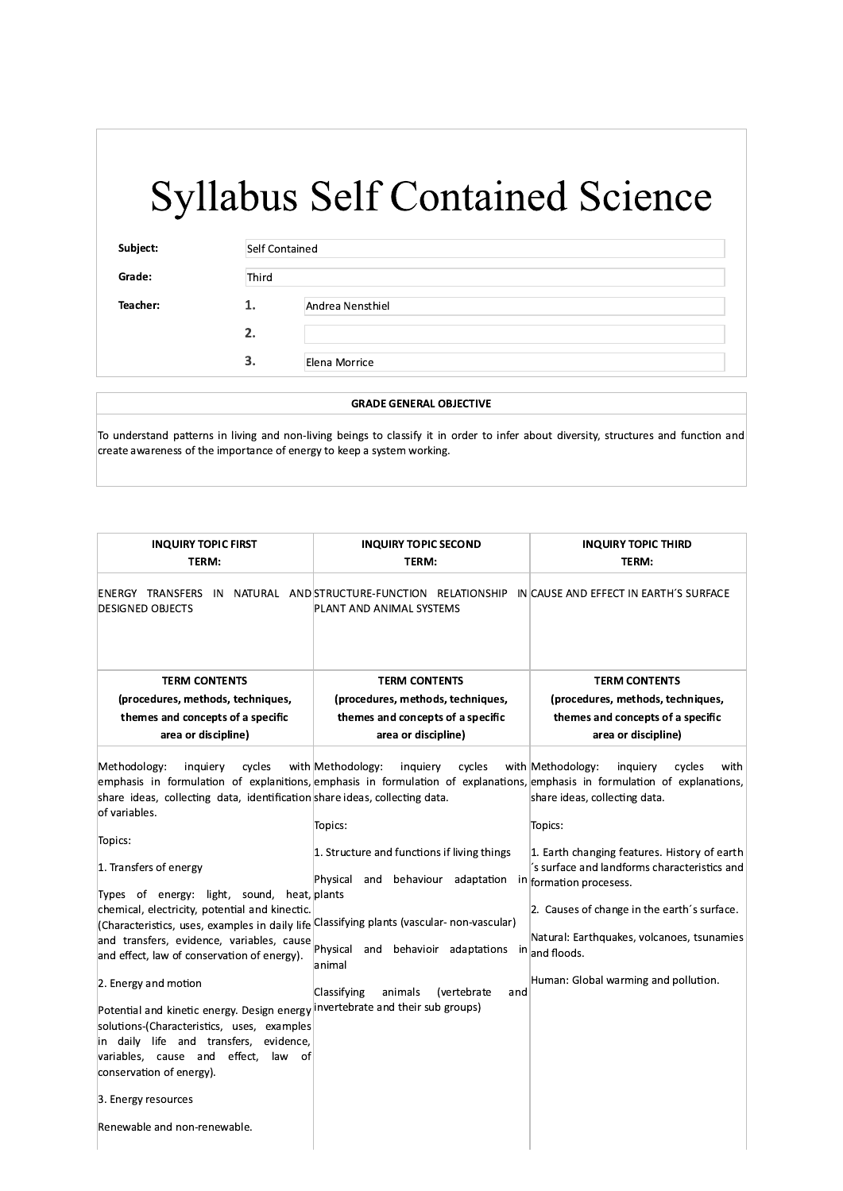| Subject: | Self Contained |                  |
|----------|----------------|------------------|
| Grade:   | Third          |                  |
| Teacher: | 1.             | Andrea Nensthiel |
|          | 2.             |                  |
|          | 3.             | Elena Morrice    |

#### **GRADE GENERAL OBJECTIVE**

To understand patterns in living and non-living beings to classify it in order to infer about diversity, structures and function and create awareness of the importance of energy to keep a system working.

| <b>INQUIRY TOPIC FIRST</b>                                                                                                                                                                                                                                                                                                                                                                                                                                                                                                                                                                                                                                                                                                                                                                   | <b>INQUIRY TOPIC SECOND</b>                                                                                                                                                                                                                                                                                                                                                                                    | <b>INQUIRY TOPIC THIRD</b>                                                                                                                                                                                                                                                                                                      |
|----------------------------------------------------------------------------------------------------------------------------------------------------------------------------------------------------------------------------------------------------------------------------------------------------------------------------------------------------------------------------------------------------------------------------------------------------------------------------------------------------------------------------------------------------------------------------------------------------------------------------------------------------------------------------------------------------------------------------------------------------------------------------------------------|----------------------------------------------------------------------------------------------------------------------------------------------------------------------------------------------------------------------------------------------------------------------------------------------------------------------------------------------------------------------------------------------------------------|---------------------------------------------------------------------------------------------------------------------------------------------------------------------------------------------------------------------------------------------------------------------------------------------------------------------------------|
| TERM:                                                                                                                                                                                                                                                                                                                                                                                                                                                                                                                                                                                                                                                                                                                                                                                        | TERM:                                                                                                                                                                                                                                                                                                                                                                                                          | TERM:                                                                                                                                                                                                                                                                                                                           |
| <b>DESIGNED OBJECTS</b>                                                                                                                                                                                                                                                                                                                                                                                                                                                                                                                                                                                                                                                                                                                                                                      | ENERGY TRANSFERS IN NATURAL AND STRUCTURE-FUNCTION RELATIONSHIP IN CAUSE AND EFFECT IN EARTH'S SURFACE<br>PLANT AND ANIMAL SYSTEMS                                                                                                                                                                                                                                                                             |                                                                                                                                                                                                                                                                                                                                 |
| <b>TERM CONTENTS</b>                                                                                                                                                                                                                                                                                                                                                                                                                                                                                                                                                                                                                                                                                                                                                                         | <b>TERM CONTENTS</b>                                                                                                                                                                                                                                                                                                                                                                                           | <b>TERM CONTENTS</b>                                                                                                                                                                                                                                                                                                            |
| (procedures, methods, techniques,                                                                                                                                                                                                                                                                                                                                                                                                                                                                                                                                                                                                                                                                                                                                                            | (procedures, methods, techniques,                                                                                                                                                                                                                                                                                                                                                                              | (procedures, methods, techniques,                                                                                                                                                                                                                                                                                               |
| themes and concepts of a specific                                                                                                                                                                                                                                                                                                                                                                                                                                                                                                                                                                                                                                                                                                                                                            | themes and concepts of a specific                                                                                                                                                                                                                                                                                                                                                                              | themes and concepts of a specific                                                                                                                                                                                                                                                                                               |
| area or discipline)                                                                                                                                                                                                                                                                                                                                                                                                                                                                                                                                                                                                                                                                                                                                                                          | area or discipline)                                                                                                                                                                                                                                                                                                                                                                                            | area or discipline)                                                                                                                                                                                                                                                                                                             |
| cycles<br>Methodology:<br>inquiery<br>share ideas, collecting data, identification share ideas, collecting data.<br>of variables.<br>Topics:<br>1. Transfers of energy<br>Types of energy: light, sound, heat, plants<br>chemical, electricity, potential and kinectic.<br>(Characteristics, uses, examples in daily life Classifying plants (vascular-non-vascular)<br>and transfers, evidence, variables, cause<br>and effect, law of conservation of energy).<br>2. Energy and motion<br>Potential and kinetic energy. Design energy invertebrate and their sub groups)<br>solutions-(Characteristics, uses, examples<br>in daily life and transfers, evidence,<br>variables, cause and effect, law of<br>conservation of energy).<br>3. Energy resources<br>Renewable and non-renewable. | with Methodology:<br>cycles<br>inquiery<br>emphasis in formulation of explanitions, emphasis in formulation of explanations, emphasis in formulation of explanations,<br>Topics:<br>1. Structure and functions if living things<br>Physical and behaviour adaptation in formation procesess.<br>Physical<br>and behavioir adaptations in and floods.<br>animal<br>Classifying<br>animals<br>(vertebrate<br>and | with Methodology:<br>inquiery<br>cycles<br>with<br>share ideas, collecting data.<br>Topics:<br>1. Earth changing features. History of earth<br>s surface and landforms characteristics and<br>2. Causes of change in the earth's surface.<br>Natural: Earthquakes, volcanoes, tsunamies<br>Human: Global warming and pollution. |